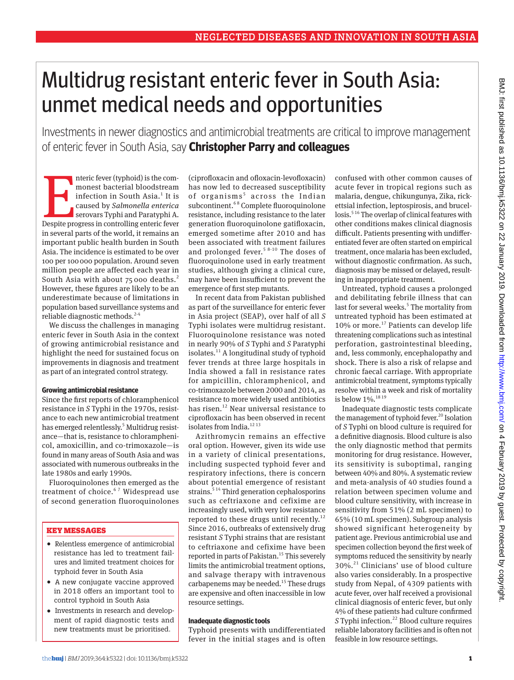# Multidrug resistant enteric fever in South Asia: unmet medical needs and opportunities

Investments in newer diagnostics and antimicrobial treatments are critical to improve management of enteric fever in South Asia, say **Christopher Parry and colleagues**

nteric fever (typhoid) is the commonest bacterial bloodstream<br>infection in South Asia.<sup>1</sup> It is<br>caused by *Salmonella enterica*<br>serovars Typhi and Paratyphi A.<br>Despite progress in controlling enteric fever nteric fever (typhoid) is the commonest bacterial bloodstream infection in South Asia.<sup>1</sup> It is caused by *Salmonella enterica* serovars Typhi and Paratyphi A. in several parts of the world, it remains an important public health burden in South Asia. The incidence is estimated to be over 100 per 100000 population. Around seven million people are affected each year in South Asia with about 75 000 deaths.<sup>2</sup> However, these figures are likely to be an underestimate because of limitations in population based surveillance systems and reliable diagnostic methods.<sup>2-4</sup>

We discuss the challenges in managing enteric fever in South Asia in the context of growing antimicrobial resistance and highlight the need for sustained focus on improvements in diagnosis and treatment as part of an integrated control strategy.

## **Growing antimicrobial resistance**

Since the first reports of chloramphenicol resistance in *S* Typhi in the 1970s, resistance to each new antimicrobial treatment has emerged relentlessly.<sup>5</sup> Multidrug resistance—that is, resistance to chloramphenicol, amoxicillin, and co-trimoxazole—is found in many areas of South Asia and was associated with numerous outbreaks in the late 1980s and early 1990s.

Fluoroquinolones then emerged as the treatment of choice.<sup>67</sup> Widespread use of second generation fluoroquinolones

## Key messages

- •  Relentless emergence of antimicrobial resistance has led to treatment failures and limited treatment choices for typhoid fever in South Asia
- •  A new conjugate vaccine approved in 2018 offers an important tool to control typhoid in South Asia
- •  Investments in research and development of rapid diagnostic tests and new treatments must be prioritised.

(ciprofloxacin and ofloxacin-levofloxacin) has now led to decreased susceptibility of organisms<sup>5</sup> across the Indian subcontinent.<sup>68</sup> Complete fluoroquinolone resistance, including resistance to the later generation fluoroquinolone gatifloxacin, emerged sometime after 2010 and has been associated with treatment failures and prolonged fever.<sup>5 8-10</sup> The doses of fluoroquinolone used in early treatment studies, although giving a clinical cure, may have been insufficient to prevent the emergence of first step mutants.

In recent data from Pakistan published as part of the surveillance for enteric fever in Asia project (SEAP), over half of all *S* Typhi isolates were multidrug resistant. Fluoroquinolone resistance was noted in nearly 90% of *S* Typhi and *S* Paratyphi isolates. $^{11}$  A longitudinal study of typhoid fever trends at three large hospitals in India showed a fall in resistance rates for ampicillin, chloramphenicol, and co-trimoxazole between 2000 and 2014, as resistance to more widely used antibiotics has risen.<sup>12</sup> Near universal resistance to ciprofloxacin has been observed in recent isolates from India.<sup>1213</sup>

Azithromycin remains an effective oral option. However, given its wide use in a variety of clinical presentations, including suspected typhoid fever and respiratory infections, there is concern about potential emergence of resistant strains.<sup>514</sup> Third generation cephalosporins such as ceftriaxone and cefixime are increasingly used, with very low resistance reported to these drugs until recently.<sup>12</sup> Since 2016, outbreaks of extensively drug resistant *S* Typhi strains that are resistant to ceftriaxone and cefixime have been reported in parts of Pakistan.<sup>15</sup> This severely limits the antimicrobial treatment options, and salvage therapy with intravenous carbapenems may be needed.<sup>15</sup> These drugs are expensive and often inaccessible in low resource settings.

## **Inadequate diagnostic tools**

Typhoid presents with undifferentiated fever in the initial stages and is often confused with other common causes of acute fever in tropical regions such as malaria, dengue, chikungunya, Zika, rickettsial infection, leptospirosis, and brucellosis.<sup>516</sup> The overlap of clinical features with other conditions makes clinical diagnosis difficult. Patients presenting with undifferentiated fever are often started on empirical treatment, once malaria has been excluded, without diagnostic confirmation. As such, diagnosis may be missed or delayed, resulting in inappropriate treatment.

Untreated, typhoid causes a prolonged and debilitating febrile illness that can last for several weeks.<sup>5</sup> The mortality from untreated typhoid has been estimated at 10% or more.<sup>17</sup> Patients can develop life threatening complications such as intestinal perforation, gastrointestinal bleeding, and, less commonly, encephalopathy and shock. There is also a risk of relapse and chronic faecal carriage. With appropriate antimicrobial treatment, symptoms typically resolve within a week and risk of mortality is below 1%.18 19

Inadequate diagnostic tests complicate the management of typhoid fever.<sup>20</sup> Isolation of *S* Typhi on blood culture is required for a definitive diagnosis. Blood culture is also the only diagnostic method that permits monitoring for drug resistance. However, its sensitivity is suboptimal, ranging between 40% and 80%. A systematic review and meta-analysis of 40 studies found a relation between specimen volume and blood culture sensitivity, with increase in sensitivity from 51% (2 mL specimen) to 65% (10 mL specimen). Subgroup analysis showed significant heterogeneity by patient age. Previous antimicrobial use and specimen collection beyond the first week of symptoms reduced the sensitivity by nearly 30%.21 Clinicians' use of blood culture also varies considerably. In a prospective study from Nepal, of 4309 patients with acute fever, over half received a provisional clinical diagnosis of enteric fever, but only 4% of these patients had culture confirmed *S* Typhi infection.<sup>22</sup> Blood culture requires reliable laboratory facilities and is often not feasible in low resource settings.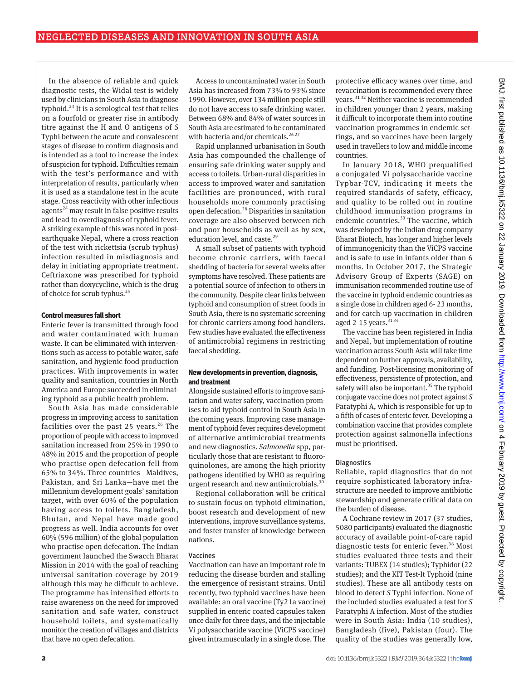In the absence of reliable and quick diagnostic tests, the Widal test is widely used by clinicians in South Asia to diagnose typhoid.<sup>23</sup> It is a serological test that relies on a fourfold or greater rise in antibody titre against the H and O antigens of *S* Typhi between the acute and convalescent stages of disease to confirm diagnosis and is intended as a tool to increase the index of suspicion for typhoid. Difficulties remain with the test's performance and with interpretation of results, particularly when it is used as a standalone test in the acute stage. Cross reactivity with other infectious agents<sup>24</sup> may result in false positive results and lead to overdiagnosis of typhoid fever. A striking example of this was noted in postearthquake Nepal, where a cross reaction of the test with rickettsia (scrub typhus) infection resulted in misdiagnosis and delay in initiating appropriate treatment. Ceftriaxone was prescribed for typhoid rather than doxycycline, which is the drug of choice for scrub typhus. $^{25}$ 

## **Control measures fall short**

Enteric fever is transmitted through food and water contaminated with human waste. It can be eliminated with interventions such as access to potable water, safe sanitation, and hygienic food production practices. With improvements in water quality and sanitation, countries in North America and Europe succeeded in eliminating typhoid as a public health problem.

South Asia has made considerable progress in improving access to sanitation facilities over the past 25 years.<sup>26</sup> The proportion of people with access to improved sanitation increased from 25% in 1990 to 48% in 2015 and the proportion of people who practise open defecation fell from 65% to 34%. Three countries—Maldives, Pakistan, and Sri Lanka—have met the millennium development goals' sanitation target, with over 60% of the population having access to toilets. Bangladesh, Bhutan, and Nepal have made good progress as well. India accounts for over 60% (596 million) of the global population who practise open defecation. The Indian government launched the Swacch Bharat Mission in 2014 with the goal of reaching universal sanitation coverage by 2019 although this may be difficult to achieve. The programme has intensified efforts to raise awareness on the need for improved sanitation and safe water, construct household toilets, and systematically monitor the creation of villages and districts that have no open defecation.

Access to uncontaminated water in South Asia has increased from 73% to 93% since 1990. However, over 134 million people still do not have access to safe drinking water. Between 68% and 84% of water sources in South Asia are estimated to be contaminated with bacteria and/or chemicals.<sup>26 27</sup>

Rapid unplanned urbanisation in South Asia has compounded the challenge of ensuring safe drinking water supply and access to toilets. Urban-rural disparities in access to improved water and sanitation facilities are pronounced, with rural households more commonly practising open defecation.28 Disparities in sanitation coverage are also observed between rich and poor households as well as by sex, education level, and caste.<sup>29</sup>

A small subset of patients with typhoid become chronic carriers, with faecal shedding of bacteria for several weeks after symptoms have resolved. These patients are a potential source of infection to others in the community. Despite clear links between typhoid and consumption of street foods in South Asia, there is no systematic screening for chronic carriers among food handlers. Few studies have evaluated the effectiveness of antimicrobial regimens in restricting faecal shedding.

## **New developments in prevention, diagnosis, and treatment**

Alongside sustained efforts to improve sanitation and water safety, vaccination promises to aid typhoid control in South Asia in the coming years. Improving case management of typhoid fever requires development of alternative antimicrobial treatments and new diagnostics. *Salmonella* spp, particularly those that are resistant to fluoroquinolones, are among the high priority pathogens identified by WHO as requiring urgent research and new antimicrobials.<sup>30</sup>

Regional collaboration will be critical to sustain focus on typhoid elimination, boost research and development of new interventions, improve surveillance systems, and foster transfer of knowledge between nations.

## Vaccines

Vaccination can have an important role in reducing the disease burden and stalling the emergence of resistant strains. Until recently, two typhoid vaccines have been available: an oral vaccine (Ty21a vaccine) supplied in enteric coated capsules taken once daily for three days, and the injectable Vi polysaccharide vaccine (ViCPS vaccine) given intramuscularly in a single dose. The

protective efficacy wanes over time, and revaccination is recommended every three years.31 32 Neither vaccine is recommended in children younger than 2 years, making it difficult to incorporate them into routine vaccination programmes in endemic settings, and so vaccines have been largely used in travellers to low and middle income countries.

In January 2018, WHO prequalified a conjugated Vi polysaccharide vaccine Typbar-TCV, indicating it meets the required standards of safety, efficacy, and quality to be rolled out in routine childhood immunisation programs in endemic countries.<sup>33</sup> The vaccine, which was developed by the Indian drug company Bharat Biotech, has longer and higher levels of immunogenicity than the ViCPS vaccine and is safe to use in infants older than 6 months. In October 2017, the Strategic Advisory Group of Experts (SAGE) on immunisation recommended routine use of the vaccine in typhoid endemic countries as a single dose in children aged 6- 23 months, and for catch-up vaccination in children aged 2-15 years.  $3134$ 

The vaccine has been registered in India and Nepal, but implementation of routine vaccination across South Asia will take time dependent on further approvals, availability, and funding. Post-licensing monitoring of effectiveness, persistence of protection, and safety will also be important.<sup>35</sup> The typhoid conjugate vaccine does not protect against *S* Paratyphi A, which is responsible for up to a fifth of cases of enteric fever. Developing a combination vaccine that provides complete protection against salmonella infections must be prioritised.

## **Diagnostics**

Reliable, rapid diagnostics that do not require sophisticated laboratory infrastructure are needed to improve antibiotic stewardship and generate critical data on the burden of disease.

A Cochrane review in 2017 (37 studies, 5080 participants) evaluated the diagnostic accuracy of available point-of-care rapid diagnostic tests for enteric fever.<sup>36</sup> Most studies evaluated three tests and their variants: TUBEX (14 studies); Typhidot (22 studies); and the KIT Test-It Typhoid (nine studies). These are all antibody tests on blood to detect *S* Typhi infection. None of the included studies evaluated a test for *S* Paratyphi A infection. Most of the studies were in South Asia: India (10 studies), Bangladesh (five), Pakistan (four). The quality of the studies was generally low,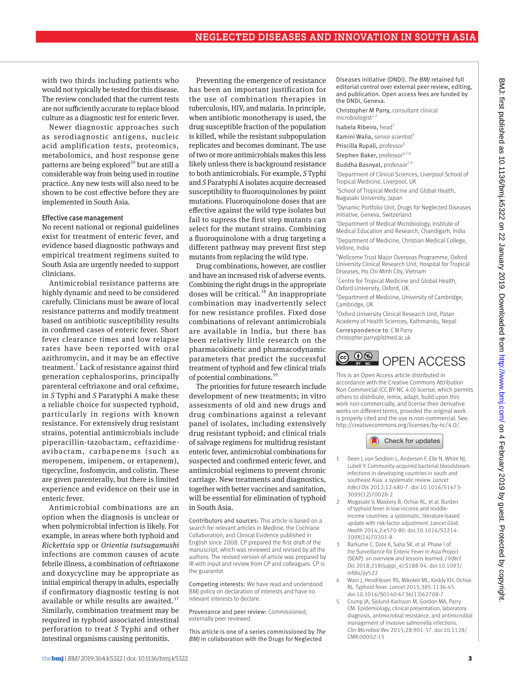with two thirds including patients who would not typically be tested for this disease. The review concluded that the current tests are not sufficiently accurate to replace blood culture as a diagnostic test for enteric fever.

Newer diagnostic approaches such as serodiagnostic antigens, nucleic acid amplification tests, proteomics, metabolomics, and host response gene patterns are being explored<sup>20</sup> but are still a considerable way from being used in routine practice. Any new tests will also need to be shown to be cost effective before they are implemented in South Asia.

#### Effective case management

No recent national or regional guidelines exist for treatment of enteric fever, and evidence based diagnostic pathways and empirical treatment regimens suited to South Asia are urgently needed to support clinicians.

Antimicrobial resistance patterns are highly dynamic and need to be considered carefully. Clinicians must be aware of local resistance patterns and modify treatment based on antibiotic susceptibility results in confirmed cases of enteric fever. Short fever clearance times and low relapse rates have been reported with oral azithromycin, and it may be an effective treatment.<sup>7</sup> Lack of resistance against third generation cephalosporins, principally parenteral ceftriaxone and oral cefixime, in *S* Typhi and *S* Paratyphi A make these a reliable choice for suspected typhoid, particularly in regions with known resistance. For extensively drug resistant strains, potential antimicrobials include piperacillin-tazobactam, ceftazidimeavibactam, carbapenems (such as meropenem, imipenem, or ertapenem), tigecycline, fosfomycin, and colistin. These are given parenterally, but there is limited experience and evidence on their use in enteric fever.

Antimicrobial combinations are an option when the diagnosis is unclear or when polymicrobial infection is likely. For example, in areas where both typhoid and *Rickettsia* spp or *Orientia tsutsugamushi* infections are common causes of acute febrile illness, a combination of ceftriaxone and doxycycline may be appropriate as initial empirical therapy in adults, especially if confirmatory diagnostic testing is not available or while results are awaited.<sup>37</sup> Similarly, combination treatment may be required in typhoid associated intestinal perforation to treat *S* Typhi and other intestinal organisms causing peritonitis.

Preventing the emergence of resistance has been an important justification for the use of combination therapies in tuberculosis, HIV, and malaria. In principle, when antibiotic monotherapy is used, the drug susceptible fraction of the population is killed, while the resistant subpopulation replicates and becomes dominant. The use of two or more antimicrobials makes this less likely unless there is background resistance to both antimicrobials. For example, *S* Typhi and *S* Paratyphi A isolates acquire decreased susceptibility to fluoroquinolones by point mutations. Fluoroquinolone doses that are effective against the wild type isolates but fail to supress the first step mutants can select for the mutant strains. Combining a fluoroquinolone with a drug targeting a different pathway may prevent first step mutants from replacing the wild type.

Drug combinations, however, are costlier and have an increased risk of adverse events. Combining the right drugs in the appropriate doses will be critical.<sup>38</sup> An inappropriate combination may inadvertently select for new resistance profiles. Fixed dose combinations of relevant antimicrobials are available in India, but there has been relatively little research on the pharmacokinetic and pharmacodynamic parameters that predict the successful treatment of typhoid and few clinical trials of potential combinations.39

The priorities for future research include development of new treatments; in vitro assessments of old and new drugs and drug combinations against a relevant panel of isolates, including extensively drug resistant typhoid; and clinical trials of salvage regimens for multidrug resistant enteric fever, antimicrobial combinations for suspected and confirmed enteric fever, and antimicrobial regimens to prevent chronic carriage. New treatments and diagnostics, together with better vaccines and sanitation, will be essential for elimination of typhoid in South Asia.

Contributors and sources: This article is based on a search for relevant articles in Medline, the Cochrane Collaboration, and Clinical Evidence published in English since 2008. CP prepared the first draft of the manuscript, which was reviewed and revised by all the authors. The revised version of article was prepared by IR with input and review from CP and colleagues. CP is the guarantor.

Competing interests: We have read and understood BMJ policy on declaration of interests and have no relevant interests to declare.

Provenance and peer review: Commissioned; externally peer reviewed.

This article is one of a series commissioned by *The BMJ* in collaboration with the Drugs for Neglected

Diseases initiative (DNDi). *The BMJ* retained full editorial control over external peer review, editing, and publication. Open access fees are funded by the DNDi, Geneva.

Christopher M Parry, consultant clinical microbiologist $1$ ,

Isabela Ribeiro, head<sup>3</sup>

Kamini Walia, senior scientist<sup>4</sup>

Priscilla Rupali, professor<sup>5</sup>

Stephen Baker, professor6,7,8

Buddha Basnyat, professor<sup>7,9</sup>

<sup>1</sup> Department of Clinical Sciences, Liverpool School of Tropical Medicine, Liverpool, UK

<sup>2</sup> School of Tropical Medicine and Global Health, Nagasaki University, Japan

3 Dynamic Portfolio Unit, Drugs for Neglected Diseases initiative, Geneva, Switzerland

4 Department of Medical Microbiology, Institute of Medical Education and Research, Chandigarh, India

5 Department of Medicine, Christian Medical College, Vellore, India

6 Wellcome Trust Major Overseas Programme, Oxford University Clinical Research Unit, Hospital for Tropical Diseases, Ho Chi Minh City, Vietnam

<sup>7</sup> Centre for Tropical Medicine and Global Health, Oxford University, Oxford, UK

8 Department of Medicine, University of Cambridge, Cambridge, UK

9 Oxford University Clinical Research Unit, Patan Academy of Health Sciences, Kathmandu, Nepal

Correspondence to: C M Parry [christopher.parry@lstmed.ac.uk](mailto:christopher.parry@lstmed.ac.uk)



This is an Open Access article distributed in accordance with the Creative Commons Attribution Non Commercial (CC BY-NC 4.0) license, which permits others to distribute, remix, adapt, build upon this work non-commercially, and license their derivative works on different terms, provided the original work is properly cited and the use is non-commercial. See: <http://creativecommons.org/licenses/by-nc/4.0/>.



- 1 Deen J, von Seidlein L, Andersen F, Elle N, White NJ, Lubell Y. Community-acquired bacterial bloodstream infections in developing countries in south and southeast Asia: a systematic review. *Lancet Infect Dis* 2012;12:480-7. doi:10.1016/S1473- 3099(12)70028-2
- 2 Mogasale V, Maskery B, Ochiai RL, et al. Burden of typhoid fever in low-income and middleincome countries: a systematic, literature-based update with risk-factor adjustment. *Lancet Glob Health* 2014;2:e570-80. doi:10.1016/S2214- 109X(14)70301-8
- 3 Barkume C, Date K, Saha SK, et al. Phase I of the Surveillance for Enteric Fever in Asia Project (SEAP): an overview and lessons learned. *J Infect Dis* 2018;218(suppl\_4):S188-94. doi:10.1093/ infdis/jiy522
- Wain J, Hendriksen RS, Mikoleit ML, Keddy KH, Ochiai RL. Typhoid fever. *Lancet* 2015;385:1136-45. doi:10.1016/S0140-6736(13)62708-7
- 5 Crump JA, Sjölund-Karlsson M, Gordon MA, Parry CM. Epidemiology, clinical presentation, laboratory diagnosis, antimicrobial resistance, and antimicrobial management of invasive salmonella infections. *Clin Microbiol Rev* 2015;28:901-37. doi:10.1128/ CMR.00002-15